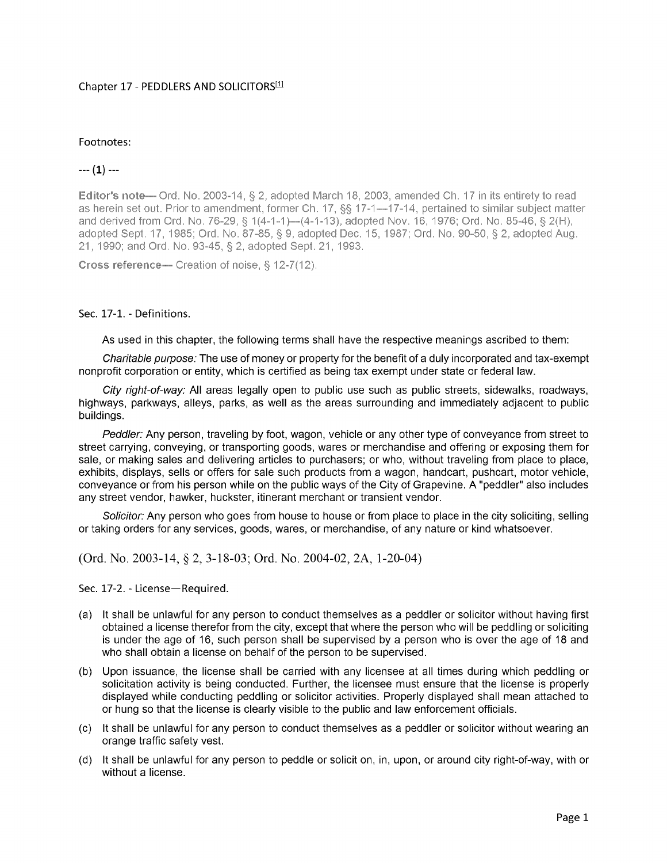## Chapter 17 - PEDDLERS AND SOLICITORS<sup>[1]</sup>

## Footnotes:

## $---(1)---$

Editor's note— Ord. No. 2003-14, § 2, adopted March 18, 2003, amended Ch. 17 in its entirety to read as herein set out. Prior to amendment, former Ch. 17, §§ 17-1—17-14, pertained to similar subject matter and derived from Ord. No. 76-29, § 1(4-1-1)—(4-1-13), adopted Nov. 16, 1976; Ord. No. 85-46, § 2(H), adopted Sept. 17, 1985; Ord. No. 87-85, § 9, adopted Dec. 15, 1987; Ord. No. 90-50, § 2, adopted Aug. 21, 1990; and Ord. No. 93-45, § 2, adopted Sept. 21, 1993.

Cross reference- Creation of noise, § 12-7(12).

## Sec. 17-1. - Definitions.

As used in this chapter, the following terms shall have the respective meanings ascribed to them:

Charitable purpose: The use of money or property for the benefit of a duly incorporated and tax-exempt nonprofit corporation or entity, which is certified as being tax exempt under state or federal law.

City right-of-way: All areas legally open to public use such as public streets, sidewalks, roadways, highways, parkways, alleys, parks, as well as the areas surrounding and immediately adjacent to public buildings.

Peddler: Any person, traveling by foot, wagon, vehicle or any other type of conveyance from street to street carrying, conveving, or transporting goods, wares or merchandise and offering or exposing them for sale, or making sales and delivering articles to purchasers; or who, without traveling from place to place, exhibits, displays, sells or offers for sale such products from a wagon, handcart, pushcart, motor vehicle, conveyance or from his person while on the public ways of the City of Grapevine. A "peddler" also includes any street vendor, hawker, huckster, itinerant merchant or transient vendor.

Solicitor: Any person who goes from house to house or from place to place in the city soliciting, selling or taking orders for any services, goods, wares, or merchandise, of any nature or kind whatsoever.

(Ord. No. 2003-14, § 2, 3-18-03; Ord. No. 2004-02, 2A, 1-20-04)

Sec. 17-2. - License-Required.

- (a) It shall be unlawful for any person to conduct themselves as a peddler or solicitor without having first obtained a license therefor from the city, except that where the person who will be peddling or soliciting is under the age of 16, such person shall be supervised by a person who is over the age of 18 and who shall obtain a license on behalf of the person to be supervised.
- (b) Upon issuance, the license shall be carried with any licensee at all times during which peddling or solicitation activity is being conducted. Further, the licensee must ensure that the license is properly displayed while conducting peddling or solicitor activities. Properly displayed shall mean attached to or hung so that the license is clearly visible to the public and law enforcement officials.
- (c) It shall be unlawful for any person to conduct themselves as a peddler or solicitor without wearing an orange traffic safety vest.
- (d) It shall be unlawful for any person to peddle or solicit on, in, upon, or around city right-of-way, with or without a license.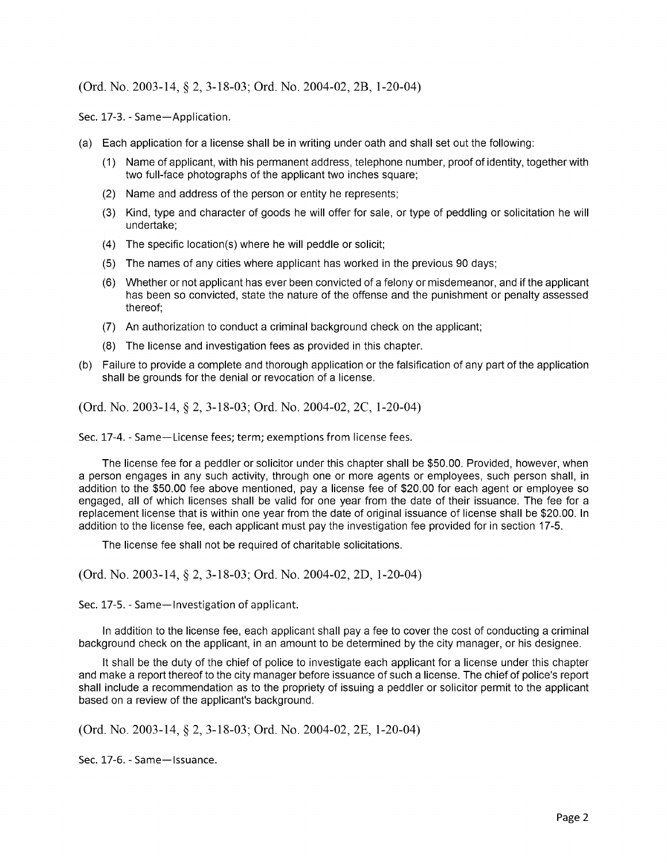$(Ord. No. 2003-14, § 2, 3-18-03; Ord. No. 2004-02, 2B, 1-20-04)$ 

Sec. 17-3. - Same-Application.

- a) Each application for a license shall be in writing under oath and shall set out the following:
	- 1) Name of applicant, with his permanent address, telephone number, proof of identity, together with two full-face photographs of the applicant two inches square;
	- 2) Name and address of the person or entity he represents;
	- 3) Kind, type and character of goods he will offer for sale, or type of peddling or solicitation he will undertake;
	- $(4)$  The specific location(s) where he will peddle or solicit;
	- 5) The names of any cities where applicant has worked in the previous 90 days;
	- 6) Whether or not applicant has ever been convicted of a felony or misdemeanor, and if the applicant has been so convicted, state the nature of the offense and the punishment or penalty assessed thereof;
	- 7) An authorization to conduct a criminal background check on the applicant;
	- 8) The license and investigation fees as provided in this chapter.
- b) Failure to provide a complete and thorough application or the falsification of any part of the application shall be grounds for the denial or revocation of a license.

(Ord. No. 2003-14, § 2, 3-18-03; Ord. No. 2004-02, 2C, 1-20-04)

Sec. 17-4. - Same-License fees; term; exemptions from license fees.

The license fee for a peddler or solicitor under this chapter shall be \$50.00. Provided, however, when a person engages in any such activity, through one or more agents or employees, such person shall, in addition to the \$50.00 fee above mentioned, pay a license fee of \$20.00 for each agent or employee so engaged, all of which licenses shall be valid for one year from the date of their issuance. The fee for a replacement license that is within one year from the date of original issuance of license shall be \$20.00. In addition to the license fee, each applicant must pay the investigation fee provided for in section 17-5.

The license fee shall not be required of charitable solicitations.

(Ord. No. 2003-14, § 2, 3-18-03; Ord. No. 2004-02, 2D, 1-20-04)

Sec. 17-5. - Same-Investigation of applicant.

In addition to the license fee, each applicant shall pay a fee to cover the cost of conducting a criminal background check on the applicant, in an amount to be determined by the city manager, or his designee.

It shall be the duty of the chief of police to investigate each applicant for a license under this chapter and make a report thereof to the city manager before issuance of such a license. The chief of police's report shall include a recommendation as to the propriety of issuing a peddler or solicitor permit to the applicant based on a review of the applicant's background.

 $(Ord. No. 2003-14, § 2, 3-18-03; Ord. No. 2004-02, 2E, 1-20-04)$ 

Sec. 17-6. - Same-Issuance.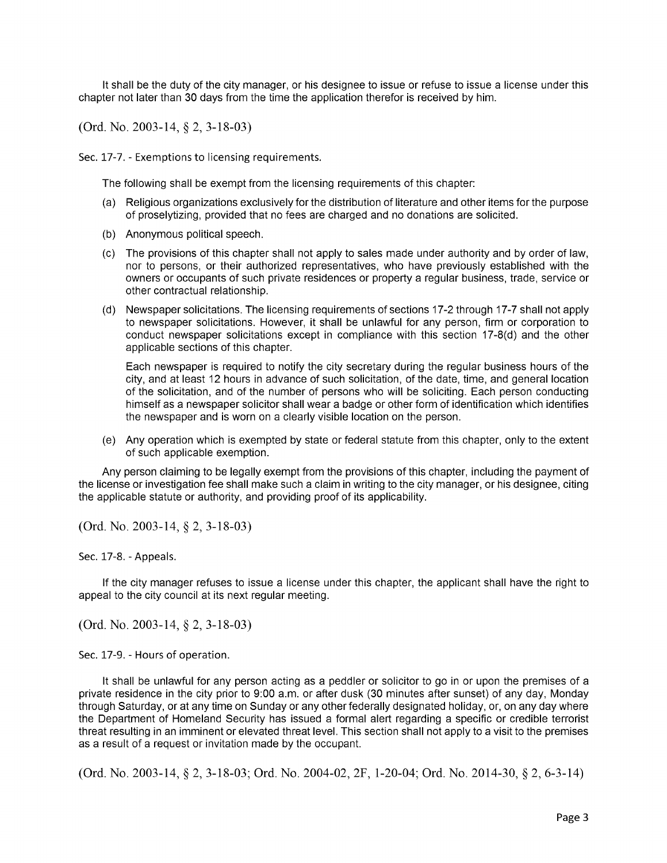It shall be the duty of the city manager, or his designee to issue or refuse to issue a license under this chapter not later than 30 days from the time the application therefor is received by him.

Ord. No. 2003- 14, § 2, 3- 18- 03)

Sec. 17-7. - Exemptions to licensing requirements.

The following shall be exempt from the licensing requirements of this chapter:

- a) Religious organizations exclusively for the distribution of literature and other items for the purpose of proselytizing, provided that no fees are charged and no donations are solicited.
- b) Anonymous political speech.
- c) The provisions of this chapter shall not apply to sales made under authority and by order of law, nor to persons, or their authorized representatives, who have previously established with the owners or occupants of such private residences or property a regular business, trade, service or other contractual relationship.
- (d) Newspaper solicitations. The licensing requirements of sections 17-2 through 17-7 shall not apply to newspaper solicitations. However, it shall be unlawful for any person, firm or corporation to conduct newspaper solicitations except in compliance with this section  $17-8(d)$  and the other applicable sections of this chapter.

Each newspaper is required to notify the city secretary during the regular business hours of the city, and at least 12 hours in advance of such solicitation, of the date, time, and general location of the solicitation, and of the number of persons who will be soliciting. Each person conducting himself as a newspaper solicitor shall wear a badge or other form of identification which identifies the newspaper and is worn on a clearly visible location on the person.

e) Any operation which is exempted by state or federal statute from this chapter, only to the extent of such applicable exemption.

Any person claiming to be legally exempt from the provisions of this chapter, including the payment of the license or investigation fee shall make such a claim in writing to the city manager, or his designee, citing the applicable statute or authority, and providing proof of its applicability.

(Ord. No. 2003-14, § 2, 3-18-03)

Sec. 17-8. - Appeals.

If the city manager refuses to issue a license under this chapter, the applicant shall have the right to appeal to the city council at its next regular meeting.

(Ord. No. 2003-14, § 2, 3-18-03)

Sec. 17-9. - Hours of operation.

It shall be unlawful for any person acting as a peddler or solicitor to go in or upon the premises of a private residence in the city prior to 9:00 a.m. or after dusk (30 minutes after sunset) of any day, Monday through Saturday, or at any time on Sunday or any other federally designated holiday, or, on any day where the Department of Homeland Security has issued a formal alert regarding a specific or credible terrorist threat resulting in an imminent or elevated threat level. This section shall not apply to a visit to the premises as a result of a request or invitation made by the occupant.

(Ord. No. 2003-14, § 2, 3-18-03; Ord. No. 2004-02, 2F, 1-20-04; Ord. No. 2014-30, § 2, 6-3-14)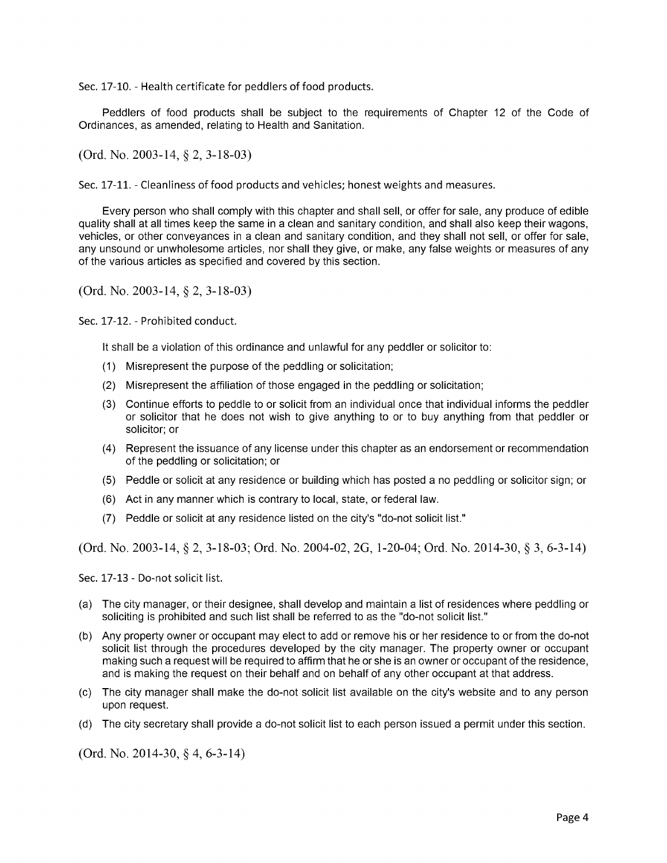Sec. 17-10. - Health certificate for peddlers of food products.

Peddlers of food products shall be subject to the requirements of Chapter 12 of the Code of Ordinances, as amended, relating to Health and Sanitation.

 $(Ord. No. 2003-14, § 2, 3-18-03)$ 

Sec. 17-11. - Cleanliness of food products and vehicles; honest weights and measures.

Every person who shall comply with this chapter and shall sell, or offer for sale, any produce of edible quality shall at all times keep the same in a clean and sanitary condition, and shall also keep their wagons, vehicles, or other conveyances in a clean and sanitary condition, and they shall not sell, or offer for sale, any unsound or unwholesome articles, nor shall they give, or make, any false weights or measures of any of the various articles as specified and covered by this section.

 $(Ord. No. 2003-14, § 2, 3-18-03)$ 

Sec. 17-12. - Prohibited conduct.

It shall be a violation of this ordinance and unlawful for any peddler or solicitor to:

- 1) Misrepresent the purpose of the peddling or solicitation;
- 2) Misrepresent the affiliation of those engaged in the peddling or solicitation;
- 3) Continue efforts to peddle to or solicit from an individual once that individual informs the peddler or solicitor that he does not wish to give anything to or to buy anything from that peddler or solicitor; or
- 4) Represent the issuance of any license under this chapter as an endorsement or recommendation of the peddling or solicitation; or
- 5) Peddle or solicit at any residence or building which has posted a no peddling or solicitor sign; or
- 6) Act in any manner which is contrary to local, state, or federal law.
- 7) Peddle or solicit at any residence listed on the city's " do-not solicit list."

(Ord. No. 2003-14,  $\S 2$ , 3-18-03; Ord. No. 2004-02, 2G, 1-20-04; Ord. No. 2014-30,  $\S 3$ , 6-3-14)

Sec. 17-13 - Do-not solicit list.

- a) The city manager, or their designee, shall develop and maintain a list of residences where peddling or soliciting is prohibited and such list shall be referred to as the "do-not solicit list."
- b) Any property owner or occupant may elect to add or remove his or her residence to or from the do- not solicit list through the procedures developed by the city manager. The property owner or occupant making such a request will be required to affirm that he or she is an owner or occupant of the residence, and is making the request on their behalf and on behalf of any other occupant at that address.
- c) The city manager shall make the do- not solicit list available on the city's website and to any person upon request.
- d) The city secretary shall provide a do- not solicit list to each person issued a permit under this section.

 $(Ord. No. 2014-30, § 4, 6-3-14)$